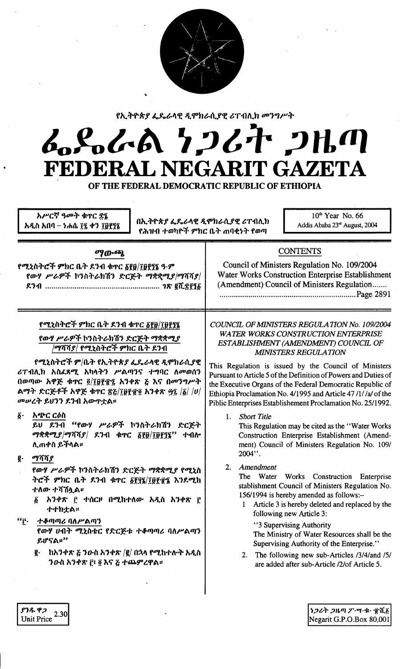

የኢትዮጵያ ፌዴራላዊ ዲሞክራሲያዊ ሪፐብሊክ መንግሥት

## んぺんめ クンムヤ フルの FEDERAL NEGARIT GAZETA

OF THE FEDERAL DEMOCRATIC REPUBLIC OF ETHIOPIA

| አሥርኛ ዓመት ቁጥር ድ፤<br>በኢትዮጵያ ፌዴራላዊ ዲሞክራሲያዊ ሪፐብሊክ<br>አዲስ አበባ – ነሐሴ ፲፯ ቀን ፲፱፻፺፯<br>የሕዝብ ተወካዮች ምክር ቤት ጠባቂነት የወጣ                                                                                                                                                                                                                                                                                                                                                  | $10th$ Year No. 66<br>Addis Ababa 23rd August, 2004                                                                                                                                                                                                                                                                                                                                                                                                                                                                                                                                                                                                     |
|------------------------------------------------------------------------------------------------------------------------------------------------------------------------------------------------------------------------------------------------------------------------------------------------------------------------------------------------------------------------------------------------------------------------------------------------------------|---------------------------------------------------------------------------------------------------------------------------------------------------------------------------------------------------------------------------------------------------------------------------------------------------------------------------------------------------------------------------------------------------------------------------------------------------------------------------------------------------------------------------------------------------------------------------------------------------------------------------------------------------------|
| ማውጫ<br>የሚኒስትሮች ምክር ቤት ደንብ ቁተር <u>δ</u> የ፬/፲፱፻፶፮ ዓ·ም<br>የውሃ ሥራዎች ኮንስትራክሽን ድርጅት ማቋቋሚያ/ማሻሻያ/                                                                                                                                                                                                                                                                                                                                                                  | <b>CONTENTS</b><br>Council of Ministers Regulation No. 109/2004<br>Water Works Construction Enterprise Establishment<br>(Amendment) Council of Ministers Regulation                                                                                                                                                                                                                                                                                                                                                                                                                                                                                     |
| የሚኒስትሮች ምክር ቤት ደንብ ቁጥር ፩፻፱/፲፱፻፺፯<br>የውሃ ሥራዎች ኮንስትራክሽን ድርጅት ማቋቋሚያ<br>/ማሻሻ <i>ያ  የሚኒ</i> ስትሮች ምክር ቤት ደንብ<br>የሚኒስትሮች ም/ቤት የኢትዮጵያ ፌዴራላዊ ዲሞክራሲያዊ<br>ሪፐብሊክ አስፈጻሚ አካላትን ሥልጣንና ተግባር ለመወሰን<br>በወጣው አዋጅ ቁጥር ፬/፲፱፻፹፯ አንቀጽ ፩ እና በመንግሥት<br>ልማት ድርጅቶች አዋጅ ቁጥር ፳፩/፲፱፻፹፬ አንቀጽ ፵፯ /፩/ /ሀ/<br>መሠረት ይህንን ደንብ አውዋቷል።                                                                                                                                                           | COUNCIL OF MINISTERS REGULATION No. 109/2004<br><b>WATER WORKS CONSTRUCTION ENTERPRISE</b><br>ESTABLISHMENT (AMENDMENT) COUNCIL OF<br><b>MINISTERS REGULATION</b><br>This Regulation is issued by the Council of Ministers<br>Pursuant to Article 5 of the Definition of Powers and Duties of<br>the Executive Organs of the Federal Democratic Republic of<br>Ethiopia Proclamation No. 4/1995 and Article 47/1//a/ of the<br>Piblic Enterprises Establishement Proclamation No. 25/1992.                                                                                                                                                              |
| አጭር ርዕስ<br>$\vec{\delta}$ .<br>ይሀ ደንብ "የውሃ ሥራዎች ኮንስትራክሽን ድርጅት<br>ማቋቋሚ $\mathcal{S}/\mathcal{P}$ ሻሻያ $/$ ደንብ ቁጥር ፩፻፱ $/$ ፲፱፻፺፮"<br>ተብሎ<br>ሊጠቀስ ይችላል፡፡<br>ማሻሻያ<br>ĝ.<br>የውሃ ሥራዎች ኮንስትራክሽን ድርጅት ማቋቋሚያ የሚኒስ<br>ትሮች ምክር ቤት ደንብ ቁጥር ፩፻፶፮/፲፱፻፹፮ እንደሚከ<br>ተለው ተሻሽሏል።<br>፩ አንቀጽ ፫ ተሰርዞ በሚከተለው አዲስ አንቀጽ ፫<br>←←わቷል።<br>ተቆጣጣሪ ባለሥልጣን<br>"r.<br>የውሃ ሀብት ሚኒስቴር የድርጅቱ ተቆጣጣሪ ባለሥልጣን<br>ይሆናል።"<br>ከአንቀጽ ፩ ንውስ አንቀጽ /፪/ በኋላ የሚከተሉት አዲስ<br>g.<br>ንውስ አንቀጽ ፫፣ ፬ እና ፩ ተጨምረዋል፡፡ | 1. Short Title<br>This Regulation may be cited as the "Water Works"<br>Construction Enterprise Establishment (Amend-<br>ment) Council of Ministers Regulation No. 109/<br>2004".<br>Amendment<br>2.<br>The Water Works Construction Enterprise<br>stablishment Council of Ministers Regulation No.<br>156/1994 is hereby amended as follows:-<br>Article 3 is hereby deleted and replaced by the<br>following new Article 3:<br>"3 Supervising Authority<br>The Ministry of Water Resources shall be the<br>Supervising Authority of the Enterprise."<br>2. The following new sub-Articles /3/4/and /5/<br>are added after sub-Article /2/of Article 5. |

ያንዱ ዋጋ

Unit Price  $^{2.30}$ 

*ነጋሪት ጋዜጣ ፖ*…ሣ·ቁ· ፹ሺ፩ Negarit G.P.O.Box 80,001